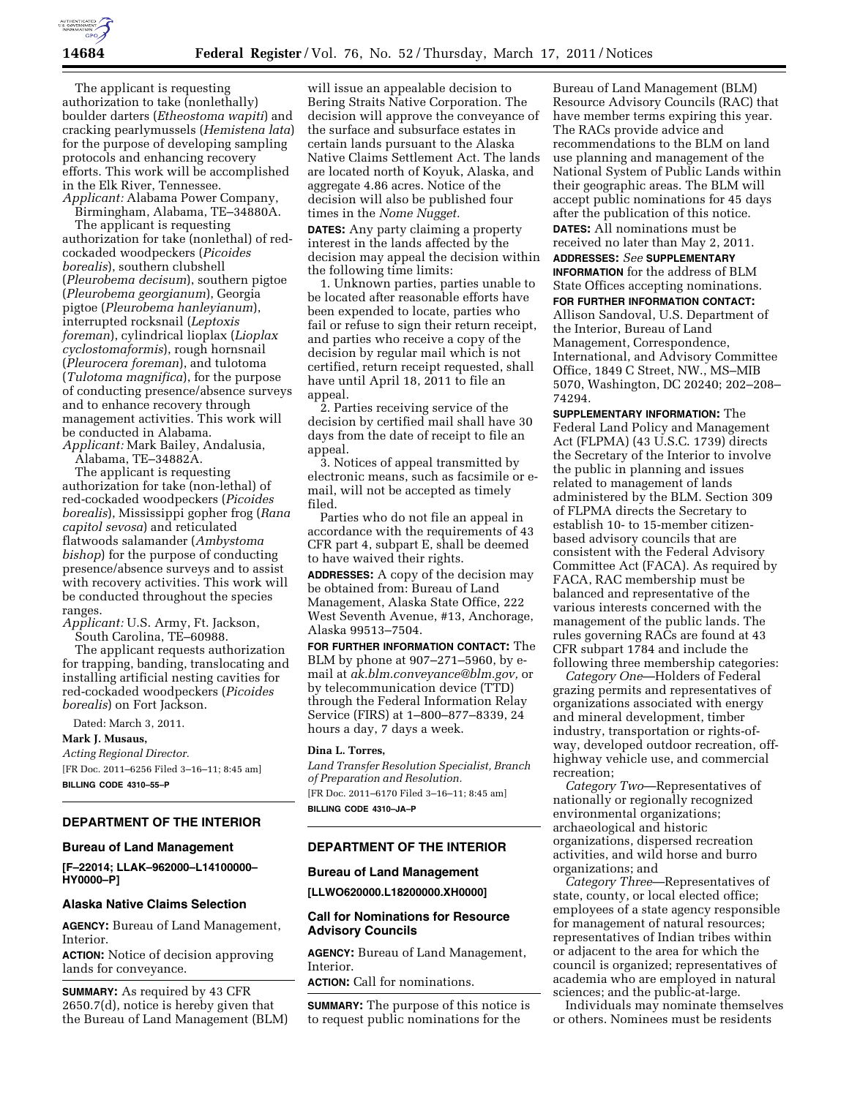

The applicant is requesting authorization to take (nonlethally) boulder darters (*Etheostoma wapiti*) and cracking pearlymussels (*Hemistena lata*) for the purpose of developing sampling protocols and enhancing recovery efforts. This work will be accomplished in the Elk River, Tennessee. *Applicant:* Alabama Power Company,

Birmingham, Alabama, TE–34880A.

The applicant is requesting authorization for take (nonlethal) of redcockaded woodpeckers (*Picoides borealis*), southern clubshell (*Pleurobema decisum*), southern pigtoe (*Pleurobema georgianum*), Georgia pigtoe (*Pleurobema hanleyianum*), interrupted rocksnail (*Leptoxis foreman*), cylindrical lioplax (*Lioplax cyclostomaformis*), rough hornsnail (*Pleurocera foreman*), and tulotoma (*Tulotoma magnifica*), for the purpose of conducting presence/absence surveys and to enhance recovery through management activities. This work will be conducted in Alabama.

*Applicant:* Mark Bailey, Andalusia,

Alabama, TE–34882A.

The applicant is requesting authorization for take (non-lethal) of red-cockaded woodpeckers (*Picoides borealis*), Mississippi gopher frog (*Rana capitol sevosa*) and reticulated flatwoods salamander (*Ambystoma bishop*) for the purpose of conducting presence/absence surveys and to assist with recovery activities. This work will be conducted throughout the species ranges.

*Applicant:* U.S. Army, Ft. Jackson, South Carolina, TE–60988.

The applicant requests authorization for trapping, banding, translocating and installing artificial nesting cavities for red-cockaded woodpeckers (*Picoides borealis*) on Fort Jackson.

Dated: March 3, 2011.

# **Mark J. Musaus,**

*Acting Regional Director.*  [FR Doc. 2011–6256 Filed 3–16–11; 8:45 am]

**BILLING CODE 4310–55–P** 

# **DEPARTMENT OF THE INTERIOR**

### **Bureau of Land Management**

**[F–22014; LLAK–962000–L14100000– HY0000–P]** 

### **Alaska Native Claims Selection**

**AGENCY:** Bureau of Land Management, Interior.

**ACTION:** Notice of decision approving lands for conveyance.

**SUMMARY:** As required by 43 CFR 2650.7(d), notice is hereby given that the Bureau of Land Management (BLM) will issue an appealable decision to Bering Straits Native Corporation. The decision will approve the conveyance of the surface and subsurface estates in certain lands pursuant to the Alaska Native Claims Settlement Act. The lands are located north of Koyuk, Alaska, and aggregate 4.86 acres. Notice of the decision will also be published four times in the *Nome Nugget.* 

**DATES:** Any party claiming a property interest in the lands affected by the decision may appeal the decision within the following time limits:

1. Unknown parties, parties unable to be located after reasonable efforts have been expended to locate, parties who fail or refuse to sign their return receipt, and parties who receive a copy of the decision by regular mail which is not certified, return receipt requested, shall have until April 18, 2011 to file an appeal.

2. Parties receiving service of the decision by certified mail shall have 30 days from the date of receipt to file an appeal.

3. Notices of appeal transmitted by electronic means, such as facsimile or email, will not be accepted as timely filed.

Parties who do not file an appeal in accordance with the requirements of 43 CFR part 4, subpart E, shall be deemed to have waived their rights.

**ADDRESSES:** A copy of the decision may be obtained from: Bureau of Land Management, Alaska State Office, 222 West Seventh Avenue, #13, Anchorage, Alaska 99513–7504.

**FOR FURTHER INFORMATION CONTACT:** The BLM by phone at 907–271–5960, by email at *[ak.blm.conveyance@blm.gov,](mailto:ak.blm.conveyance@blm.gov)* or by telecommunication device (TTD) through the Federal Information Relay Service (FIRS) at 1–800–877–8339, 24 hours a day, 7 days a week.

### **Dina L. Torres,**

*Land Transfer Resolution Specialist, Branch of Preparation and Resolution.*  [FR Doc. 2011–6170 Filed 3–16–11; 8:45 am] **BILLING CODE 4310–JA–P** 

### **DEPARTMENT OF THE INTERIOR**

#### **Bureau of Land Management**

**[LLWO620000.L18200000.XH0000]** 

### **Call for Nominations for Resource Advisory Councils**

**AGENCY:** Bureau of Land Management, **Interior** 

**ACTION:** Call for nominations.

**SUMMARY:** The purpose of this notice is to request public nominations for the

Bureau of Land Management (BLM) Resource Advisory Councils (RAC) that have member terms expiring this year. The RACs provide advice and recommendations to the BLM on land use planning and management of the National System of Public Lands within their geographic areas. The BLM will accept public nominations for 45 days after the publication of this notice. **DATES:** All nominations must be received no later than May 2, 2011.

**ADDRESSES:** *See* **SUPPLEMENTARY INFORMATION** for the address of BLM State Offices accepting nominations.

**FOR FURTHER INFORMATION CONTACT:** 

Allison Sandoval, U.S. Department of the Interior, Bureau of Land Management, Correspondence, International, and Advisory Committee Office, 1849 C Street, NW., MS–MIB 5070, Washington, DC 20240; 202–208– 74294.

**SUPPLEMENTARY INFORMATION:** The Federal Land Policy and Management Act (FLPMA) (43 U.S.C. 1739) directs the Secretary of the Interior to involve the public in planning and issues related to management of lands administered by the BLM. Section 309 of FLPMA directs the Secretary to establish 10- to 15-member citizenbased advisory councils that are consistent with the Federal Advisory Committee Act (FACA). As required by FACA, RAC membership must be balanced and representative of the various interests concerned with the management of the public lands. The rules governing RACs are found at 43 CFR subpart 1784 and include the following three membership categories:

*Category One*—Holders of Federal grazing permits and representatives of organizations associated with energy and mineral development, timber industry, transportation or rights-ofway, developed outdoor recreation, offhighway vehicle use, and commercial recreation;

*Category Two*—Representatives of nationally or regionally recognized environmental organizations; archaeological and historic organizations, dispersed recreation activities, and wild horse and burro organizations; and

*Category Three*—Representatives of state, county, or local elected office; employees of a state agency responsible for management of natural resources; representatives of Indian tribes within or adjacent to the area for which the council is organized; representatives of academia who are employed in natural sciences; and the public-at-large.

Individuals may nominate themselves or others. Nominees must be residents